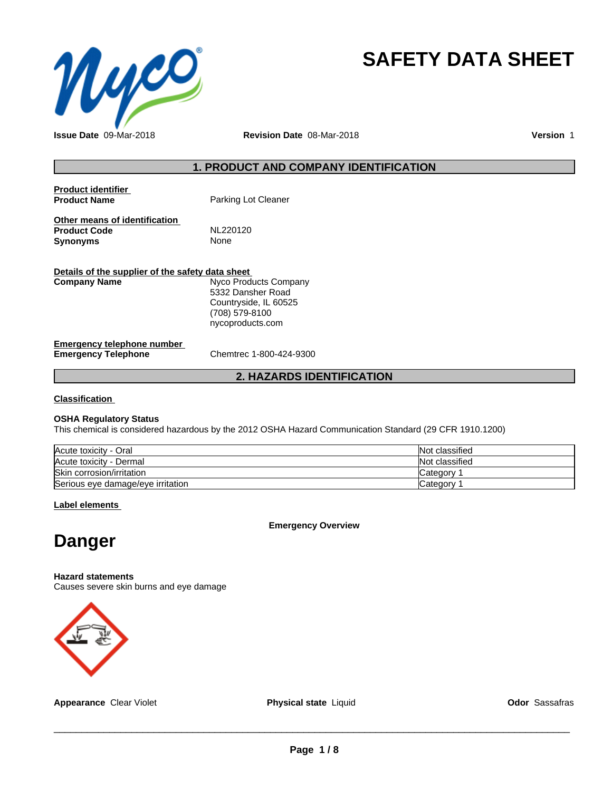

# **SAFETY DATA SHEET**

**Issue Date** 09-Mar-2018 **Revision Date** 08-Mar-2018 **Version** 1

# **1. PRODUCT AND COMPANY IDENTIFICATION**

| Product identifier<br><b>Product Name</b>                        | Parking Lot Cleaner                                                                                       |
|------------------------------------------------------------------|-----------------------------------------------------------------------------------------------------------|
| Other means of identification<br><b>Product Code</b><br>Svnonvms | NL220120<br>None                                                                                          |
| Details of the supplier of the safety data sheet<br>Company Name | Nyco Products Company<br>5332 Dansher Road<br>Countryside, IL 60525<br>(708) 579-8100<br>nycoproducts.com |
| Emergency telephone number                                       |                                                                                                           |

# **Emergency Telephone** Chemtrec 1-800-424-9300

# **2. HAZARDS IDENTIFICATION**

**Classification**

# **OSHA Regulatory Status**

This chemical is considered hazardous by the 2012 OSHA Hazard Communication Standard (29 CFR 1910.1200)

| Acute toxicity - Oral             | Not classified |
|-----------------------------------|----------------|
| Acute toxicity - Dermal           | Not classified |
| Skin corrosion/irritation         | Category       |
| Serious eye damage/eye irritation | Category       |

**Label elements**

**Emergency Overview**

# **Danger**

**Hazard statements**

Causes severe skin burns and eye damage



**Appearance** Clear Violet **Physical state** Liquid **Odor** Sassafras

 $\overline{\phantom{a}}$  ,  $\overline{\phantom{a}}$  ,  $\overline{\phantom{a}}$  ,  $\overline{\phantom{a}}$  ,  $\overline{\phantom{a}}$  ,  $\overline{\phantom{a}}$  ,  $\overline{\phantom{a}}$  ,  $\overline{\phantom{a}}$  ,  $\overline{\phantom{a}}$  ,  $\overline{\phantom{a}}$  ,  $\overline{\phantom{a}}$  ,  $\overline{\phantom{a}}$  ,  $\overline{\phantom{a}}$  ,  $\overline{\phantom{a}}$  ,  $\overline{\phantom{a}}$  ,  $\overline{\phantom{a}}$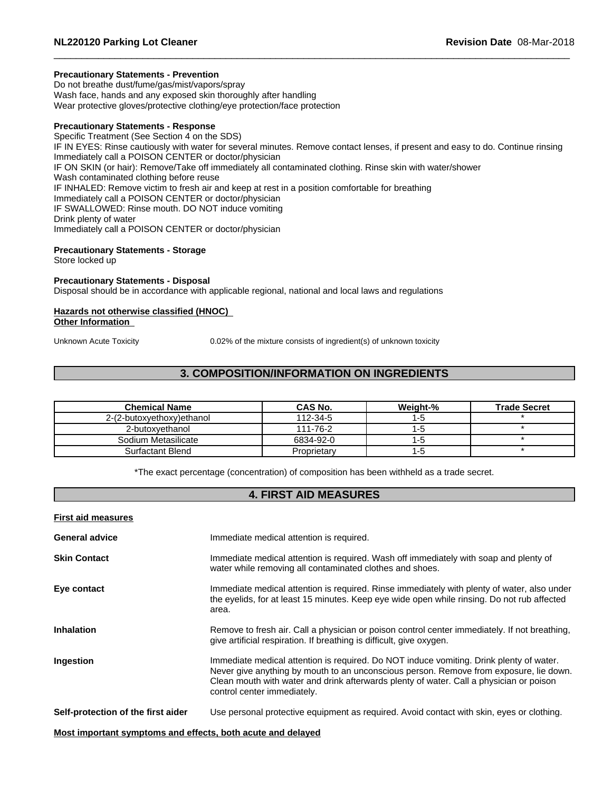# **Precautionary Statements - Prevention**

Do not breathe dust/fume/gas/mist/vapors/spray Wash face, hands and any exposed skin thoroughly after handling Wear protective gloves/protective clothing/eye protection/face protection

# **Precautionary Statements - Response**

Specific Treatment (See Section 4 on the SDS) IF IN EYES: Rinse cautiously with water for several minutes. Remove contact lenses, if present and easy to do. Continue rinsing Immediately call a POISON CENTER or doctor/physician IF ON SKIN (or hair): Remove/Take off immediately all contaminated clothing. Rinse skin with water/shower Wash contaminated clothing before reuse IF INHALED: Remove victim to fresh air and keep at rest in a position comfortable for breathing Immediately call a POISON CENTER or doctor/physician IF SWALLOWED: Rinse mouth. DO NOT induce vomiting Drink plenty of water Immediately call a POISON CENTER or doctor/physician

# **Precautionary Statements - Storage**

Store locked up

# **Precautionary Statements - Disposal**

Disposal should be in accordance with applicable regional, national and local laws and regulations

# **Hazards not otherwise classified (HNOC)**

**Other Information**

Unknown Acute Toxicity 0.02% of the mixture consists of ingredient(s) of unknown toxicity

# **3. COMPOSITION/INFORMATION ON INGREDIENTS**

| <b>Chemical Name</b>      | CAS No.     | Weight-% | <b>Trade Secret</b> |
|---------------------------|-------------|----------|---------------------|
| 2-(2-butoxyethoxy)ethanol | 112-34-5    |          |                     |
| 2-butoxvethanol           | 111-76-2    |          |                     |
| Sodium Metasilicate       | 6834-92-0   | 1-2      |                     |
| Surfactant Blend          | Proprietary | כ- ו     |                     |

\*The exact percentage (concentration) of composition has been withheld as a trade secret.

# **4. FIRST AID MEASURES**

| <b>First aid measures</b>                                   |                                                                                                                                                                                                                                                                                                             |
|-------------------------------------------------------------|-------------------------------------------------------------------------------------------------------------------------------------------------------------------------------------------------------------------------------------------------------------------------------------------------------------|
| <b>General advice</b>                                       | Immediate medical attention is required.                                                                                                                                                                                                                                                                    |
| <b>Skin Contact</b>                                         | Immediate medical attention is required. Wash off immediately with soap and plenty of<br>water while removing all contaminated clothes and shoes.                                                                                                                                                           |
| Eye contact                                                 | Immediate medical attention is required. Rinse immediately with plenty of water, also under<br>the eyelids, for at least 15 minutes. Keep eye wide open while rinsing. Do not rub affected<br>area.                                                                                                         |
| <b>Inhalation</b>                                           | Remove to fresh air. Call a physician or poison control center immediately. If not breathing,<br>give artificial respiration. If breathing is difficult, give oxygen.                                                                                                                                       |
| Ingestion                                                   | Immediate medical attention is required. Do NOT induce vomiting. Drink plenty of water.<br>Never give anything by mouth to an unconscious person. Remove from exposure, lie down.<br>Clean mouth with water and drink afterwards plenty of water. Call a physician or poison<br>control center immediately. |
| Self-protection of the first aider                          | Use personal protective equipment as required. Avoid contact with skin, eyes or clothing.                                                                                                                                                                                                                   |
| Most important symptoms and effects, both acute and delayed |                                                                                                                                                                                                                                                                                                             |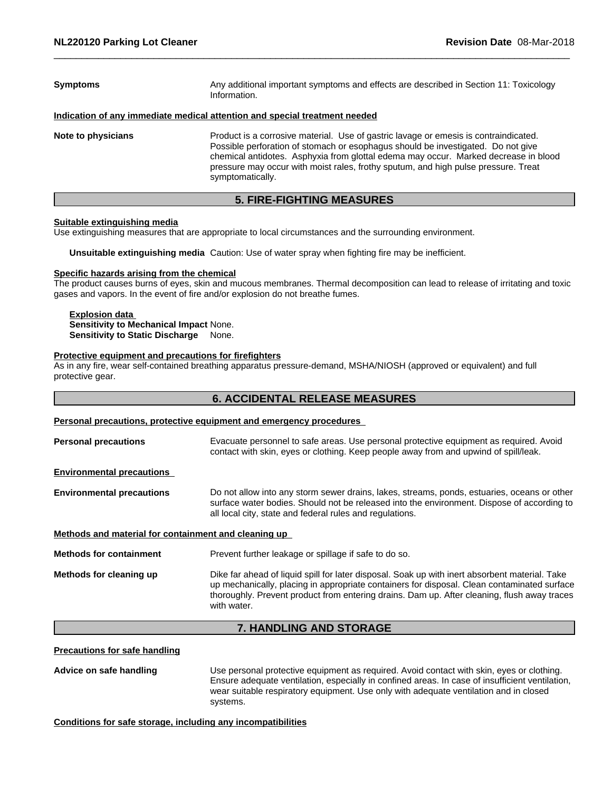| <b>Symptoms</b>    | Any additional important symptoms and effects are described in Section 11: Toxicology<br>Information.                                                                                                                                                                                                                                                                     |  |
|--------------------|---------------------------------------------------------------------------------------------------------------------------------------------------------------------------------------------------------------------------------------------------------------------------------------------------------------------------------------------------------------------------|--|
|                    | Indication of any immediate medical attention and special treatment needed                                                                                                                                                                                                                                                                                                |  |
| Note to physicians | Product is a corrosive material. Use of gastric lavage or emesis is contraindicated.<br>Possible perforation of stomach or esophagus should be investigated. Do not give<br>chemical antidotes. Asphyxia from glottal edema may occur. Marked decrease in blood<br>pressure may occur with moist rales, frothy sputum, and high pulse pressure. Treat<br>symptomatically. |  |

# **5. FIRE-FIGHTING MEASURES**

# **Suitable extinguishing media**

Use extinguishing measures that are appropriate to local circumstances and the surrounding environment.

**Unsuitable extinguishing media** Caution: Use of water spray when fighting fire may be inefficient.

#### **Specific hazards arising from the chemical**

The product causes burns of eyes, skin and mucous membranes. Thermal decomposition can lead to release of irritating and toxic gases and vapors. In the event of fire and/or explosion do not breathe fumes.

# **Explosion data**

**Sensitivity to Mechanical Impact** None. **Sensitivity to Static Discharge** None.

# **Protective equipment and precautions for firefighters**

As in any fire, wear self-contained breathing apparatus pressure-demand, MSHA/NIOSH (approved or equivalent) and full protective gear.

# **6. ACCIDENTAL RELEASE MEASURES**

# **Personal precautions, protective equipment and emergency procedures**

| <b>Personal precautions</b>                          | Evacuate personnel to safe areas. Use personal protective equipment as required. Avoid<br>contact with skin, eyes or clothing. Keep people away from and upwind of spill/leak.                                                                                                                              |  |
|------------------------------------------------------|-------------------------------------------------------------------------------------------------------------------------------------------------------------------------------------------------------------------------------------------------------------------------------------------------------------|--|
| <b>Environmental precautions</b>                     |                                                                                                                                                                                                                                                                                                             |  |
| <b>Environmental precautions</b>                     | Do not allow into any storm sewer drains, lakes, streams, ponds, estuaries, oceans or other<br>surface water bodies. Should not be released into the environment. Dispose of according to<br>all local city, state and federal rules and regulations.                                                       |  |
| Methods and material for containment and cleaning up |                                                                                                                                                                                                                                                                                                             |  |
| <b>Methods for containment</b>                       | Prevent further leakage or spillage if safe to do so.                                                                                                                                                                                                                                                       |  |
| Methods for cleaning up                              | Dike far ahead of liquid spill for later disposal. Soak up with inert absorbent material. Take<br>up mechanically, placing in appropriate containers for disposal. Clean contaminated surface<br>thoroughly. Prevent product from entering drains. Dam up. After cleaning, flush away traces<br>with water. |  |
|                                                      |                                                                                                                                                                                                                                                                                                             |  |

# **7. HANDLING AND STORAGE**

**Precautions for safe handling**

**Advice on safe handling** Use personal protective equipment as required.Avoid contact with skin, eyes or clothing. Ensure adequate ventilation, especially in confined areas. In case of insufficient ventilation, wear suitable respiratory equipment. Use only with adequate ventilation and in closed systems.

**Conditions for safe storage, including any incompatibilities**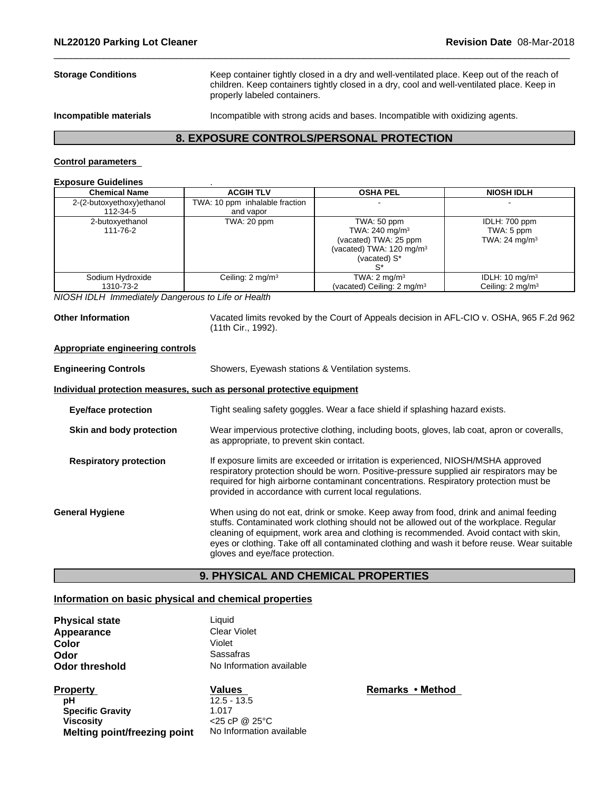**Storage Conditions** Keep container tightly closed in a dry and well-ventilated place. Keep out of the reach of children. Keep containers tightly closed in a dry, cool and well-ventilated place. Keep in properly labeled containers.

**Incompatible materials** Incompatible with strong acids and bases. Incompatible with oxidizing agents.

# **8. EXPOSURE CONTROLS/PERSONAL PROTECTION**

# **Control parameters**

# **Exposure Guidelines** .

| <b>Chemical Name</b>          | <b>ACGIH TLV</b>               | <b>OSHA PEL</b>                                                                                                          | <b>NIOSH IDLH</b>                                        |
|-------------------------------|--------------------------------|--------------------------------------------------------------------------------------------------------------------------|----------------------------------------------------------|
| 2-(2-butoxyethoxy)ethanol     | TWA: 10 ppm inhalable fraction |                                                                                                                          |                                                          |
| 112-34-5                      | and vapor                      |                                                                                                                          |                                                          |
| 2-butoxyethanol<br>111-76-2   | TWA: 20 ppm                    | TWA: 50 ppm<br>TWA: $240 \text{ mg/m}^3$<br>(vacated) TWA: 25 ppm<br>(vacated) TWA: $120 \text{ mg/m}^3$<br>(vacated) S* | IDLH: 700 ppm<br>TWA: 5 ppm<br>TWA: 24 mg/m <sup>3</sup> |
| Sodium Hydroxide<br>1310-73-2 | Ceiling: $2 \text{ mg/m}^3$    | TWA: $2 \text{ mg/m}^3$<br>(vacated) Ceiling: $2 \text{ mg/m}^3$                                                         | IDLH: $10 \text{ mg/m}^3$<br>Ceiling: $2 \text{ mg/m}^3$ |

*NIOSH IDLH Immediately Dangerous to Life or Health*

**Other Information** Vacated limits revoked by the Court of Appeals decision in AFL-CIO v.OSHA, 965 F.2d 962 (11th Cir., 1992).

# **Appropriate engineering controls**

| <b>Engineering Controls</b>   | Showers, Eyewash stations & Ventilation systems.                                                                                                                                                                                                                                                                                                                                                            |  |  |
|-------------------------------|-------------------------------------------------------------------------------------------------------------------------------------------------------------------------------------------------------------------------------------------------------------------------------------------------------------------------------------------------------------------------------------------------------------|--|--|
|                               | Individual protection measures, such as personal protective equipment                                                                                                                                                                                                                                                                                                                                       |  |  |
| <b>Eye/face protection</b>    | Tight sealing safety goggles. Wear a face shield if splashing hazard exists.                                                                                                                                                                                                                                                                                                                                |  |  |
| Skin and body protection      | Wear impervious protective clothing, including boots, gloves, lab coat, apron or coveralls,<br>as appropriate, to prevent skin contact.                                                                                                                                                                                                                                                                     |  |  |
| <b>Respiratory protection</b> | If exposure limits are exceeded or irritation is experienced, NIOSH/MSHA approved<br>respiratory protection should be worn. Positive-pressure supplied air respirators may be<br>required for high airborne contaminant concentrations. Respiratory protection must be<br>provided in accordance with current local regulations.                                                                            |  |  |
| <b>General Hygiene</b>        | When using do not eat, drink or smoke. Keep away from food, drink and animal feeding<br>stuffs. Contaminated work clothing should not be allowed out of the workplace. Regular<br>cleaning of equipment, work area and clothing is recommended. Avoid contact with skin,<br>eyes or clothing. Take off all contaminated clothing and wash it before reuse. Wear suitable<br>gloves and eye/face protection. |  |  |

# **9. PHYSICAL AND CHEMICAL PROPERTIES**

# **Information on basic physical and chemical properties**

| <b>Physical state</b><br>Appearance<br>Color                         | Liquid<br><b>Clear Violet</b><br>Violet                      |               |
|----------------------------------------------------------------------|--------------------------------------------------------------|---------------|
| Odor                                                                 | Sassafras                                                    |               |
| <b>Odor threshold</b>                                                | No Information available                                     |               |
| <b>Property</b><br>рH<br><b>Specific Gravity</b><br><b>Viscosity</b> | <b>Values</b><br>$12.5 - 13.5$<br>1.017<br>$<$ 25 cP @ 25 °C | <b>Remark</b> |

**Melting point/freezing point** No Information available

**Remarks** • Method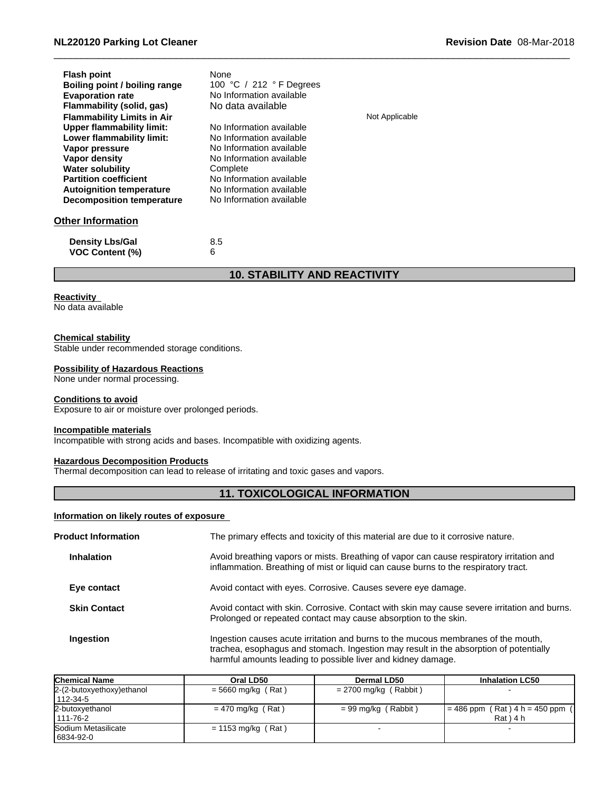| <b>Flash point</b><br>Boiling point / boiling range<br><b>Evaporation rate</b><br>Flammability (solid, gas)<br><b>Flammability Limits in Air</b><br>Upper flammability limit:<br>Lower flammability limit:<br>Vapor pressure<br>Vapor density | None<br>100 °C / 212 °F Degrees<br>No Information available<br>No data available<br>No Information available<br>No Information available<br>No Information available<br>No Information available | Not Applicable |
|-----------------------------------------------------------------------------------------------------------------------------------------------------------------------------------------------------------------------------------------------|--------------------------------------------------------------------------------------------------------------------------------------------------------------------------------------------------|----------------|
| <b>Partition coefficient</b><br><b>Autoignition temperature</b><br>Decomposition temperature<br><b>Other Information</b>                                                                                                                      | No Information available<br>No Information available<br>No Information available                                                                                                                 |                |
| <b>Density Lbs/Gal</b><br><b>VOC Content (%)</b>                                                                                                                                                                                              | 8.5<br>6                                                                                                                                                                                         |                |

# **10. STABILITY AND REACTIVITY**

# **Reactivity**

No data available

# **Chemical stability**

Stable under recommended storage conditions.

# **Possibility of Hazardous Reactions**

None under normal processing.

# **Conditions to avoid**

Exposure to air or moisture over prolonged periods.

# **Incompatible materials**

Incompatible with strong acids and bases. Incompatible with oxidizing agents.

# **Hazardous Decomposition Products**

Thermal decomposition can lead to release of irritating and toxic gases and vapors.

# **11. TOXICOLOGICAL INFORMATION**

# **Information on likely routes of exposure**

| <b>Product Information</b> | The primary effects and toxicity of this material are due to it corrosive nature.                                                                                                                                                          |
|----------------------------|--------------------------------------------------------------------------------------------------------------------------------------------------------------------------------------------------------------------------------------------|
| <b>Inhalation</b>          | Avoid breathing vapors or mists. Breathing of vapor can cause respiratory irritation and<br>inflammation. Breathing of mist or liquid can cause burns to the respiratory tract.                                                            |
| Eye contact                | Avoid contact with eyes. Corrosive. Causes severe eye damage.                                                                                                                                                                              |
| <b>Skin Contact</b>        | Avoid contact with skin. Corrosive. Contact with skin may cause severe irritation and burns.<br>Prolonged or repeated contact may cause absorption to the skin.                                                                            |
| Ingestion                  | Ingestion causes acute irritation and burns to the mucous membranes of the mouth,<br>trachea, esophagus and stomach. Ingestion may result in the absorption of potentially<br>harmful amounts leading to possible liver and kidney damage. |

| <b>Chemical Name</b>                    | Oral LD50            | Dermal LD50           | <b>Inhalation LC50</b>                             |
|-----------------------------------------|----------------------|-----------------------|----------------------------------------------------|
| 2-(2-butoxyethoxy) ethanol<br>1112-34-5 | $= 5660$ mg/kg (Rat) | = 2700 mg/kg (Rabbit) |                                                    |
| 2-butoxyethanol<br>1111-76-2            | $= 470$ mg/kg (Rat)  | $= 99$ mg/kg (Rabbit) | $I = 486$ ppm (Rat) $4 h = 450$ ppm<br>$Rat$ ) 4 h |
| Sodium Metasilicate<br>6834-92-0        | $= 1153$ mg/kg (Rat) |                       |                                                    |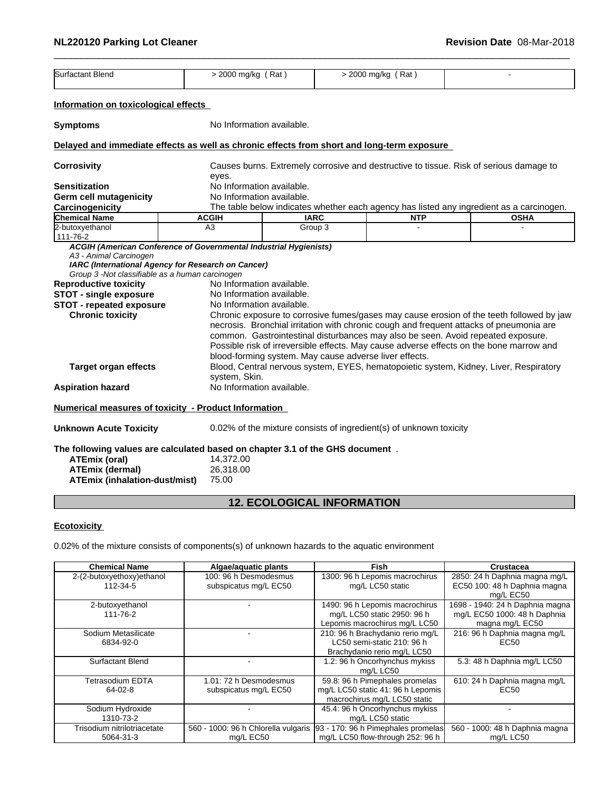| Surfactant Blend                                                                                                                                                                                              | $>$ 2000 mg/kg (Rat)            |                                                                                                                                               | > 2000 mg/kg (Rat)                                                                                                                                                                                                                                                                                                                                              |                                                                                          |  |
|---------------------------------------------------------------------------------------------------------------------------------------------------------------------------------------------------------------|---------------------------------|-----------------------------------------------------------------------------------------------------------------------------------------------|-----------------------------------------------------------------------------------------------------------------------------------------------------------------------------------------------------------------------------------------------------------------------------------------------------------------------------------------------------------------|------------------------------------------------------------------------------------------|--|
| Information on toxicological effects                                                                                                                                                                          |                                 |                                                                                                                                               |                                                                                                                                                                                                                                                                                                                                                                 |                                                                                          |  |
| <b>Symptoms</b>                                                                                                                                                                                               |                                 | No Information available.                                                                                                                     |                                                                                                                                                                                                                                                                                                                                                                 |                                                                                          |  |
| Delayed and immediate effects as well as chronic effects from short and long-term exposure                                                                                                                    |                                 |                                                                                                                                               |                                                                                                                                                                                                                                                                                                                                                                 |                                                                                          |  |
| <b>Corrosivity</b>                                                                                                                                                                                            |                                 | Causes burns. Extremely corrosive and destructive to tissue. Risk of serious damage to                                                        |                                                                                                                                                                                                                                                                                                                                                                 |                                                                                          |  |
|                                                                                                                                                                                                               | eyes.                           |                                                                                                                                               |                                                                                                                                                                                                                                                                                                                                                                 |                                                                                          |  |
| <b>Sensitization</b>                                                                                                                                                                                          |                                 | No Information available.                                                                                                                     |                                                                                                                                                                                                                                                                                                                                                                 |                                                                                          |  |
| <b>Germ cell mutagenicity</b>                                                                                                                                                                                 |                                 | No Information available.                                                                                                                     |                                                                                                                                                                                                                                                                                                                                                                 |                                                                                          |  |
| Carcinogenicity                                                                                                                                                                                               |                                 |                                                                                                                                               |                                                                                                                                                                                                                                                                                                                                                                 | The table below indicates whether each agency has listed any ingredient as a carcinogen. |  |
| <b>Chemical Name</b>                                                                                                                                                                                          | <b>ACGIH</b><br>A3              | <b>IARC</b>                                                                                                                                   | <b>NTP</b>                                                                                                                                                                                                                                                                                                                                                      | <b>OSHA</b>                                                                              |  |
| 2-butoxyethanol<br>111-76-2                                                                                                                                                                                   |                                 | Group 3                                                                                                                                       |                                                                                                                                                                                                                                                                                                                                                                 |                                                                                          |  |
| Group 3 -Not classifiable as a human carcinogen<br><b>Reproductive toxicity</b><br><b>STOT - single exposure</b><br><b>STOT - repeated exposure</b><br><b>Chronic toxicity</b><br><b>Target organ effects</b> | system, Skin.                   | No Information available.<br>No Information available.<br>No Information available.<br>blood-forming system. May cause adverse liver effects. | necrosis. Bronchial irritation with chronic cough and frequent attacks of pneumonia are<br>common. Gastrointestinal disturbances may also be seen. Avoid repeated exposure.<br>Possible risk of irreversible effects. May cause adverse effects on the bone marrow and<br>Blood, Central nervous system, EYES, hematopoietic system, Kidney, Liver, Respiratory | Chronic exposure to corrosive fumes/gases may cause erosion of the teeth followed by jaw |  |
| <b>Aspiration hazard</b>                                                                                                                                                                                      |                                 | No Information available.                                                                                                                     |                                                                                                                                                                                                                                                                                                                                                                 |                                                                                          |  |
| Numerical measures of toxicity - Product Information                                                                                                                                                          |                                 |                                                                                                                                               |                                                                                                                                                                                                                                                                                                                                                                 |                                                                                          |  |
| <b>Unknown Acute Toxicity</b>                                                                                                                                                                                 |                                 | 0.02% of the mixture consists of ingredient(s) of unknown toxicity                                                                            |                                                                                                                                                                                                                                                                                                                                                                 |                                                                                          |  |
| The following values are calculated based on chapter 3.1 of the GHS document.<br><b>ATEmix (oral)</b><br><b>ATEmix (dermal)</b><br>ATEmix (inhalation-dust/mist)                                              | 14,372.00<br>26,318.00<br>75.00 |                                                                                                                                               |                                                                                                                                                                                                                                                                                                                                                                 |                                                                                          |  |

# **12. ECOLOGICAL INFORMATION**

# **Ecotoxicity**

0.02% of the mixture consists of components(s) of unknown hazards to the aquatic environment

| <b>Chemical Name</b>        | Algae/aquatic plants                | <b>Fish</b>                        | Crustacea                       |
|-----------------------------|-------------------------------------|------------------------------------|---------------------------------|
| 2-(2-butoxyethoxy)ethanol   | 100: 96 h Desmodesmus               | 1300: 96 h Lepomis macrochirus     | 2850: 24 h Daphnia magna mg/L   |
| 112-34-5                    | subspicatus mg/L EC50               | mg/L LC50 static                   | EC50 100: 48 h Daphnia magna    |
|                             |                                     |                                    | mg/L EC50                       |
| 2-butoxyethanol             |                                     | 1490: 96 h Lepomis macrochirus     | 1698 - 1940: 24 h Daphnia magna |
| 111-76-2                    |                                     | mg/L LC50 static 2950: 96 h        | mg/L EC50 1000: 48 h Daphnia    |
|                             |                                     | Lepomis macrochirus mg/L LC50      | magna mg/L EC50                 |
| Sodium Metasilicate         |                                     | 210: 96 h Brachydanio rerio mg/L   | 216: 96 h Daphnia magna mg/L    |
| 6834-92-0                   |                                     | LC50 semi-static 210: 96 h         | EC <sub>50</sub>                |
|                             |                                     | Brachydanio rerio mg/L LC50        |                                 |
| <b>Surfactant Blend</b>     |                                     | 1.2: 96 h Oncorhynchus mykiss      | 5.3: 48 h Daphnia mg/L LC50     |
|                             |                                     | mg/L LC50                          |                                 |
| <b>Tetrasodium EDTA</b>     | 1.01: 72 h Desmodesmus              | 59.8: 96 h Pimephales promelas     | 610: 24 h Daphnia magna mg/L    |
| $64-02-8$                   | subspicatus mg/L EC50               | mg/L LC50 static 41: 96 h Lepomis  | EC <sub>50</sub>                |
|                             |                                     | macrochirus mg/L LC50 static       |                                 |
| Sodium Hydroxide            |                                     | 45.4: 96 h Oncorhynchus mykiss     |                                 |
| 1310-73-2                   |                                     | mg/L LC50 static                   |                                 |
| Trisodium nitrilotriacetate | 560 - 1000: 96 h Chlorella vulgaris | 93 - 170: 96 h Pimephales promelas | 560 - 1000: 48 h Daphnia magna  |
| 5064-31-3                   | mg/L EC50                           | mg/L LC50 flow-through 252: 96 h   | mg/L LC50                       |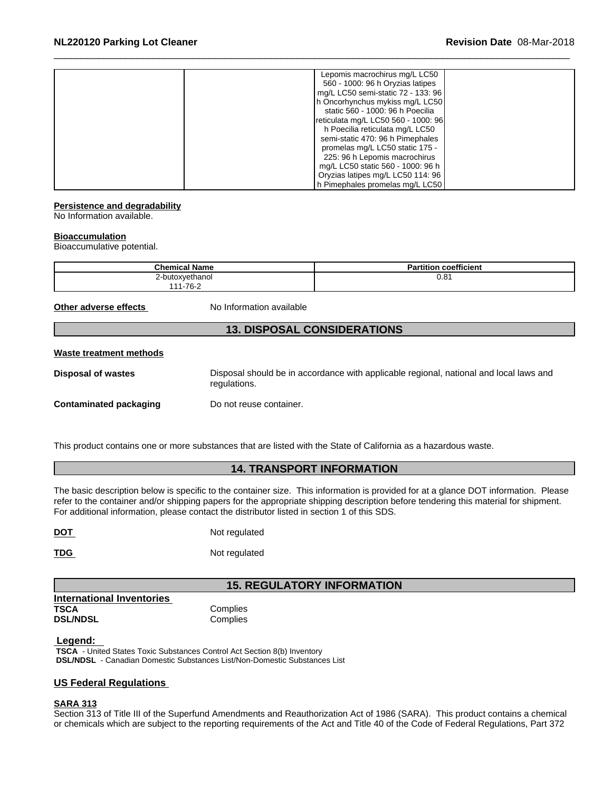#### **Persistence and degradability**

No Information available.

# **Bioaccumulation**

Bioaccumulative potential.

| <b>Chemical Name</b><br>UNCHIIGA. | $\ddot{\phantom{0}}$<br><b>Dortifier</b><br>coefficient |
|-----------------------------------|---------------------------------------------------------|
| butoxvethanol                     | ົດ<br>u.o i                                             |
| 1-76-2<br>.                       |                                                         |

**Other adverse effects** No Information available

# **13. DISPOSAL CONSIDERATIONS**

# **Waste treatment methods**

**Disposal of wastes** Disposal should be in accordance with applicable regional, national and local laws and regulations.

**Contaminated packaging Do not reuse container.** 

This product contains one or more substances that are listed with the State of California as a hazardous waste.

# **14. TRANSPORT INFORMATION**

The basic description below is specific to the container size. This information is provided for at a glance DOT information. Please refer to the container and/or shipping papers for the appropriate shipping description before tendering this material for shipment. For additional information, please contact the distributor listed in section 1 of this SDS.

| <b>DOT</b> | Not regulated |
|------------|---------------|
|            |               |

**TDG** Not regulated

# **15. REGULATORY INFORMATION**

**International Inventories TSCA** Complies **DSL/NDSL** Complies

# **Legend:**

 **TSCA** - United States Toxic Substances Control Act Section 8(b) Inventory  **DSL/NDSL** - Canadian Domestic Substances List/Non-Domestic Substances List

# **US Federal Regulations**

# **SARA 313**

Section 313 of Title III of the Superfund Amendments and Reauthorization Act of 1986 (SARA). This product contains a chemical or chemicals which are subject to the reporting requirements of the Act and Title 40 of the Code of Federal Regulations, Part 372